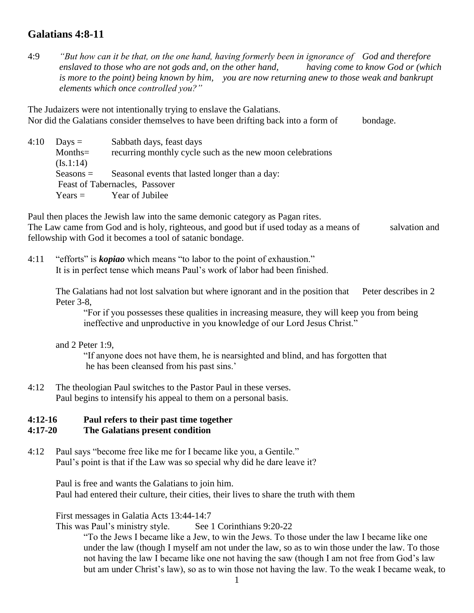# **Galatians 4:8-11**

4:9 *"But how can it be that, on the one hand, having formerly been in ignorance of God and therefore enslaved to those who are not gods and, on the other hand, having come to know God or (which is more to the point) being known by him, you are now returning anew to those weak and bankrupt elements which once controlled you?"*

The Judaizers were not intentionally trying to enslave the Galatians. Nor did the Galatians consider themselves to have been drifting back into a form of bondage.

 $4:10$  Days = Sabbath days, feast days Months = recurring monthly cycle such as the new moon celebrations  $(Is.1:14)$ Seasons = Seasonal events that lasted longer than a day: Feast of Tabernacles, Passover  $Years = Year of Jubilee$ 

Paul then places the Jewish law into the same demonic category as Pagan rites. The Law came from God and is holy, righteous, and good but if used today as a means of salvation and fellowship with God it becomes a tool of satanic bondage.

4:11 "efforts" is *kopiao* which means "to labor to the point of exhaustion." It is in perfect tense which means Paul's work of labor had been finished.

The Galatians had not lost salvation but where ignorant and in the position that Peter describes in 2 Peter 3-8,

"For if you possesses these qualities in increasing measure, they will keep you from being ineffective and unproductive in you knowledge of our Lord Jesus Christ."

and 2 Peter 1:9,

"If anyone does not have them, he is nearsighted and blind, and has forgotten that he has been cleansed from his past sins.'

4:12 The theologian Paul switches to the Pastor Paul in these verses. Paul begins to intensify his appeal to them on a personal basis.

## **4:12-16 Paul refers to their past time together**

#### **4:17-20 The Galatians present condition**

4:12 Paul says "become free like me for I became like you, a Gentile." Paul's point is that if the Law was so special why did he dare leave it?

Paul is free and wants the Galatians to join him. Paul had entered their culture, their cities, their lives to share the truth with them

First messages in Galatia Acts 13:44-14:7

This was Paul's ministry style. See 1 Corinthians 9:20-22

"To the Jews I became like a Jew, to win the Jews. To those under the law I became like one under the law (though I myself am not under the law, so as to win those under the law. To those not having the law I became like one not having the saw (though I am not free from God's law but am under Christ's law), so as to win those not having the law. To the weak I became weak, to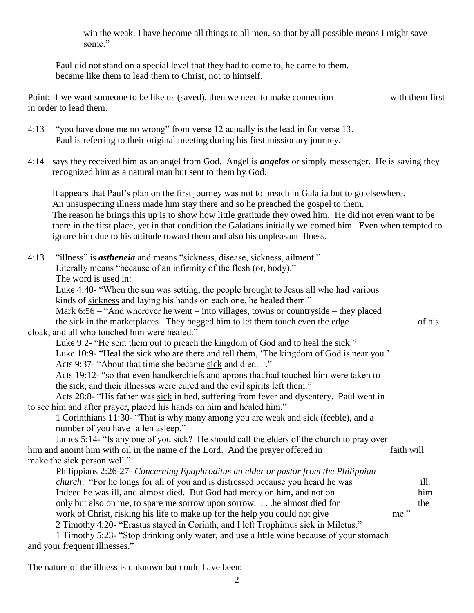win the weak. I have become all things to all men, so that by all possible means I might save some"

Paul did not stand on a special level that they had to come to, he came to them, became like them to lead them to Christ, not to himself.

Point: If we want someone to be like us (saved), then we need to make connection with them first in order to lead them.

4:13 "you have done me no wrong" from verse 12 actually is the lead in for verse 13. Paul is referring to their original meeting during his first missionary journey.

4:14 says they received him as an angel from God. Angel is *angelos* or simply messenger. He is saying they recognized him as a natural man but sent to them by God.

It appears that Paul's plan on the first journey was not to preach in Galatia but to go elsewhere. An unsuspecting illness made him stay there and so he preached the gospel to them. The reason he brings this up is to show how little gratitude they owed him. He did not even want to be there in the first place, yet in that condition the Galatians initially welcomed him. Even when tempted to ignore him due to his attitude toward them and also his unpleasant illness.

4:13 "illness" is *astheneia* and means "sickness, disease, sickness, ailment." Literally means "because of an infirmity of the flesh (or, body)." The word is used in: Luke 4:40- "When the sun was setting, the people brought to Jesus all who had various kinds of sickness and laying his hands on each one, he healed them." Mark  $6:56 -$  "And wherever he went – into villages, towns or countryside – they placed the sick in the marketplaces. They begged him to let them touch even the edge of his cloak, and all who touched him were healed." Luke 9:2- "He sent them out to preach the kingdom of God and to heal the sick." Luke 10:9- "Heal the sick who are there and tell them, 'The kingdom of God is near you.' Acts 9:37- "About that time she became sick and died. . ." Acts 19:12- "so that even handkerchiefs and aprons that had touched him were taken to the sick, and their illnesses were cured and the evil spirits left them." Acts 28:8- "His father was sick in bed, suffering from fever and dysentery. Paul went in to see him and after prayer, placed his hands on him and healed him." 1 Corinthians 11:30- "That is why many among you are weak and sick (feeble), and a number of you have fallen asleep." James 5:14- "Is any one of you sick? He should call the elders of the church to pray over him and anoint him with oil in the name of the Lord. And the prayer offered in faith will make the sick person well." Philippians 2:26-27- *Concerning Epaphroditus an elder or pastor from the Philippian church*: "For he longs for all of you and is distressed because you heard he was ill. Indeed he was ill, and almost died. But God had mercy on him, and not on him only but also on me, to spare me sorrow upon sorrow. . . .he almost died for the work of Christ, risking his life to make up for the help you could not give me." 2 Timothy 4:20- "Erastus stayed in Corinth, and I left Trophimus sick in Miletus." 1 Timothy 5:23- "Stop drinking only water, and use a little wine because of your stomach and your frequent illnesses."

The nature of the illness is unknown but could have been: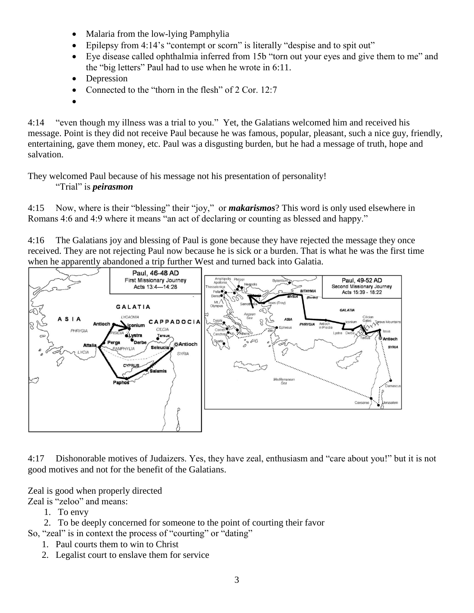- Malaria from the low-lying Pamphylia
- Epilepsy from 4:14's "contempt or scorn" is literally "despise and to spit out"
- Eye disease called ophthalmia inferred from 15b "torn out your eyes and give them to me" and the "big letters" Paul had to use when he wrote in 6:11.
- Depression
- Connected to the "thorn in the flesh" of 2 Cor. 12:7
- $\bullet$

4:14 "even though my illness was a trial to you." Yet, the Galatians welcomed him and received his message. Point is they did not receive Paul because he was famous, popular, pleasant, such a nice guy, friendly, entertaining, gave them money, etc. Paul was a disgusting burden, but he had a message of truth, hope and salvation.

They welcomed Paul because of his message not his presentation of personality!

### "Trial" is *peirasmon*

4:15 Now, where is their "blessing" their "joy," or *makarismos*? This word is only used elsewhere in Romans 4:6 and 4:9 where it means "an act of declaring or counting as blessed and happy."

4:16 The Galatians joy and blessing of Paul is gone because they have rejected the message they once received. They are not rejecting Paul now because he is sick or a burden. That is what he was the first time when he apparently abandoned a trip further West and turned back into Galatia.



4:17 Dishonorable motives of Judaizers. Yes, they have zeal, enthusiasm and "care about you!" but it is not good motives and not for the benefit of the Galatians.

Zeal is good when properly directed

Zeal is "zeloo" and means:

1. To envy

2. To be deeply concerned for someone to the point of courting their favor

So, "zeal" is in context the process of "courting" or "dating"

- 1. Paul courts them to win to Christ
- 2. Legalist court to enslave them for service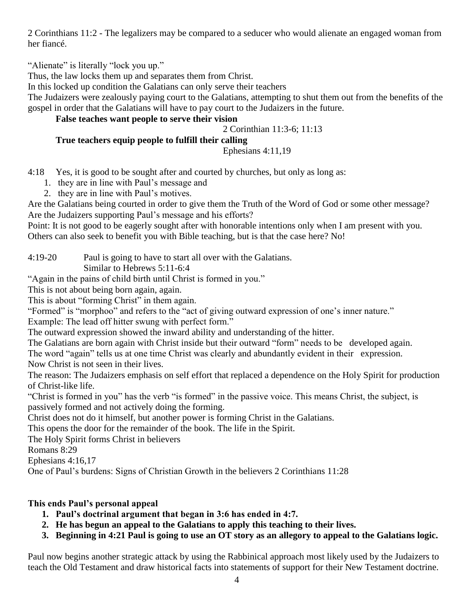2 Corinthians 11:2 - The legalizers may be compared to a seducer who would alienate an engaged woman from her fiancé.

"Alienate" is literally "lock you up."

Thus, the law locks them up and separates them from Christ.

In this locked up condition the Galatians can only serve their teachers

The Judaizers were zealously paying court to the Galatians, attempting to shut them out from the benefits of the gospel in order that the Galatians will have to pay court to the Judaizers in the future.

## **False teaches want people to serve their vision**

### 2 Corinthian 11:3-6; 11:13

## **True teachers equip people to fulfill their calling**

### Ephesians 4:11,19

4:18 Yes, it is good to be sought after and courted by churches, but only as long as:

- 1. they are in line with Paul's message and
- 2. they are in line with Paul's motives.

Are the Galatians being courted in order to give them the Truth of the Word of God or some other message? Are the Judaizers supporting Paul's message and his efforts?

Point: It is not good to be eagerly sought after with honorable intentions only when I am present with you. Others can also seek to benefit you with Bible teaching, but is that the case here? No!

4:19-20 Paul is going to have to start all over with the Galatians.

Similar to Hebrews 5:11-6:4

"Again in the pains of child birth until Christ is formed in you."

This is not about being born again, again.

This is about "forming Christ" in them again.

"Formed" is "morphoo" and refers to the "act of giving outward expression of one's inner nature."

Example: The lead off hitter swung with perfect form."

The outward expression showed the inward ability and understanding of the hitter.

The Galatians are born again with Christ inside but their outward "form" needs to be developed again.

The word "again" tells us at one time Christ was clearly and abundantly evident in their expression.

Now Christ is not seen in their lives.

The reason: The Judaizers emphasis on self effort that replaced a dependence on the Holy Spirit for production of Christ-like life.

"Christ is formed in you" has the verb "is formed" in the passive voice. This means Christ, the subject, is passively formed and not actively doing the forming.

Christ does not do it himself, but another power is forming Christ in the Galatians.

This opens the door for the remainder of the book. The life in the Spirit.

The Holy Spirit forms Christ in believers

Romans 8:29

Ephesians 4:16,17

One of Paul's burdens: Signs of Christian Growth in the believers 2 Corinthians 11:28

## **This ends Paul's personal appeal**

- **1. Paul's doctrinal argument that began in 3:6 has ended in 4:7.**
- **2. He has begun an appeal to the Galatians to apply this teaching to their lives.**
- **3. Beginning in 4:21 Paul is going to use an OT story as an allegory to appeal to the Galatians logic.**

Paul now begins another strategic attack by using the Rabbinical approach most likely used by the Judaizers to teach the Old Testament and draw historical facts into statements of support for their New Testament doctrine.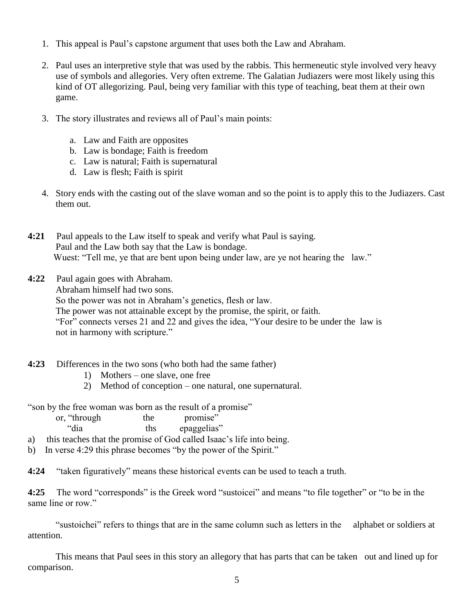- 1. This appeal is Paul's capstone argument that uses both the Law and Abraham.
- 2. Paul uses an interpretive style that was used by the rabbis. This hermeneutic style involved very heavy use of symbols and allegories. Very often extreme. The Galatian Judiazers were most likely using this kind of OT allegorizing. Paul, being very familiar with this type of teaching, beat them at their own game.
- 3. The story illustrates and reviews all of Paul's main points:
	- a. Law and Faith are opposites
	- b. Law is bondage; Faith is freedom
	- c. Law is natural; Faith is supernatural
	- d. Law is flesh; Faith is spirit
- 4. Story ends with the casting out of the slave woman and so the point is to apply this to the Judiazers. Cast them out.
- **4:21** Paul appeals to the Law itself to speak and verify what Paul is saying. Paul and the Law both say that the Law is bondage. Wuest: "Tell me, ye that are bent upon being under law, are ye not hearing the law."
- **4:22** Paul again goes with Abraham. Abraham himself had two sons. So the power was not in Abraham's genetics, flesh or law. The power was not attainable except by the promise, the spirit, or faith. "For" connects verses 21 and 22 and gives the idea, "Your desire to be under the law is not in harmony with scripture."
- **4:23** Differences in the two sons (who both had the same father)
	- 1) Mothers one slave, one free
	- 2) Method of conception one natural, one supernatural.

"son by the free woman was born as the result of a promise"

| or, "through | the                       | promise" |
|--------------|---------------------------|----------|
| (6.1)        | $\mathbf{L}$ $\mathbf{L}$ |          |

- dia this epaggelias'
- a) this teaches that the promise of God called Isaac's life into being.
- b) In verse 4:29 this phrase becomes "by the power of the Spirit."

**4:24** "taken figuratively" means these historical events can be used to teach a truth.

**4:25** The word "corresponds" is the Greek word "sustoicei" and means "to file together" or "to be in the same line or row."

 "sustoichei" refers to things that are in the same column such as letters in the alphabet or soldiers at attention.

 This means that Paul sees in this story an allegory that has parts that can be taken out and lined up for comparison.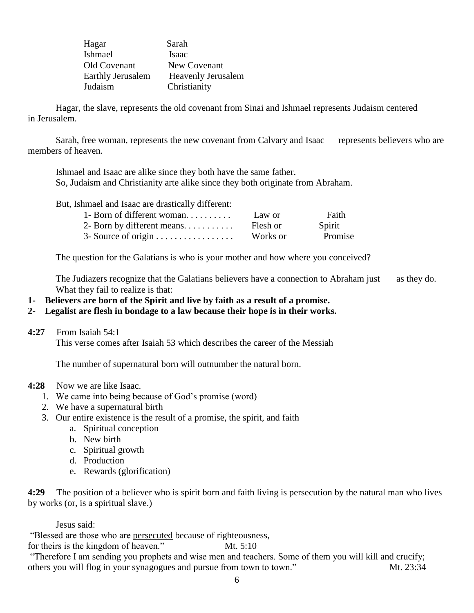| Hagar                    | Sarah                     |
|--------------------------|---------------------------|
| Ishmael                  | Isaac                     |
| Old Covenant             | New Covenant              |
| <b>Earthly Jerusalem</b> | <b>Heavenly Jerusalem</b> |
| Judaism                  | Christianity              |

 Hagar, the slave, represents the old covenant from Sinai and Ishmael represents Judaism centered in Jerusalem.

Sarah, free woman, represents the new covenant from Calvary and Isaac represents believers who are members of heaven.

 Ishmael and Isaac are alike since they both have the same father. So, Judaism and Christianity arte alike since they both originate from Abraham.

But, Ishmael and Isaac are drastically different:

| 1- Born of different woman          | Law or   | Faith   |
|-------------------------------------|----------|---------|
| 2- Born by different means. $\dots$ | Flesh or | Spirit  |
|                                     | Works or | Promise |

The question for the Galatians is who is your mother and how where you conceived?

The Judiazers recognize that the Galatians believers have a connection to Abraham just as they do. What they fail to realize is that:

**1- Believers are born of the Spirit and live by faith as a result of a promise.**

#### **2- Legalist are flesh in bondage to a law because their hope is in their works.**

**4:27** From Isaiah 54:1

This verse comes after Isaiah 53 which describes the career of the Messiah

The number of supernatural born will outnumber the natural born.

#### **4:28** Now we are like Isaac.

- 1. We came into being because of God's promise (word)
- 2. We have a supernatural birth
- 3. Our entire existence is the result of a promise, the spirit, and faith
	- a. Spiritual conception
	- b. New birth
	- c. Spiritual growth
	- d. Production
	- e. Rewards (glorification)

**4:29** The position of a believer who is spirit born and faith living is persecution by the natural man who lives by works (or, is a spiritual slave.)

Jesus said:

"Blessed are those who are persecuted because of righteousness,

for theirs is the kingdom of heaven." Mt. 5:10

"Therefore I am sending you prophets and wise men and teachers. Some of them you will kill and crucify; others you will flog in your synagogues and pursue from town to town." Mt. 23:34